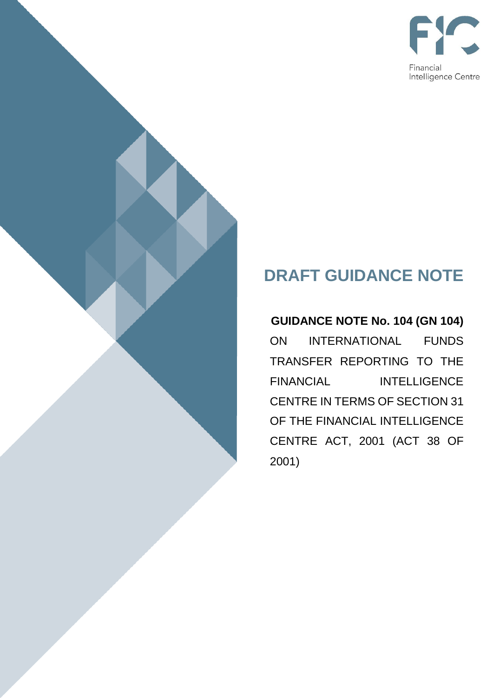

# **DRAFT GUIDANCE NOTE**

**GUIDANCE NOTE No. 104 (GN 104)**  ON INTERNATIONAL FUNDS TRANSFER REPORTING TO THE FINANCIAL INTELLIGENCE CENTRE IN TERMS OF SECTION 31 OF THE FINANCIAL INTELLIGENCE CENTRE ACT, 2001 (ACT 38 OF 2001)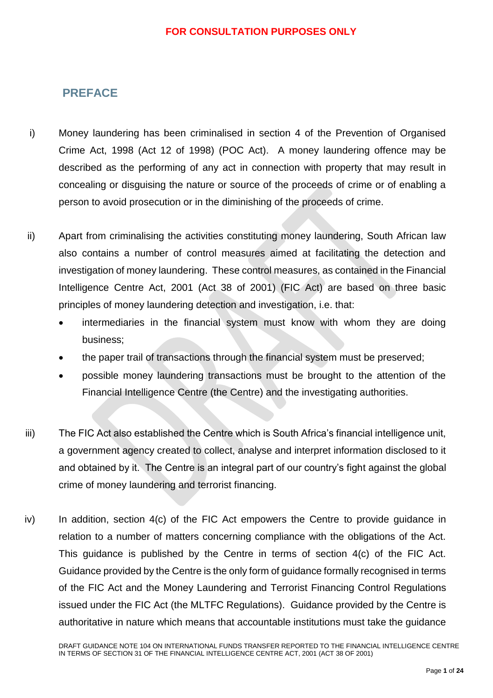# <span id="page-1-0"></span>**PREFACE**

- i) Money laundering has been criminalised in section 4 of the Prevention of Organised Crime Act, 1998 (Act 12 of 1998) (POC Act). A money laundering offence may be described as the performing of any act in connection with property that may result in concealing or disguising the nature or source of the proceeds of crime or of enabling a person to avoid prosecution or in the diminishing of the proceeds of crime.
- ii) Apart from criminalising the activities constituting money laundering, South African law also contains a number of control measures aimed at facilitating the detection and investigation of money laundering. These control measures, as contained in the Financial Intelligence Centre Act, 2001 (Act 38 of 2001) (FIC Act) are based on three basic principles of money laundering detection and investigation, i.e. that:
	- intermediaries in the financial system must know with whom they are doing business;
	- the paper trail of transactions through the financial system must be preserved;
	- possible money laundering transactions must be brought to the attention of the Financial Intelligence Centre (the Centre) and the investigating authorities.
- iii) The FIC Act also established the Centre which is South Africa's financial intelligence unit, a government agency created to collect, analyse and interpret information disclosed to it and obtained by it. The Centre is an integral part of our country's fight against the global crime of money laundering and terrorist financing.
- iv) In addition, section 4(c) of the FIC Act empowers the Centre to provide guidance in relation to a number of matters concerning compliance with the obligations of the Act. This guidance is published by the Centre in terms of section 4(c) of the FIC Act. Guidance provided by the Centre is the only form of guidance formally recognised in terms of the FIC Act and the Money Laundering and Terrorist Financing Control Regulations issued under the FIC Act (the MLTFC Regulations). Guidance provided by the Centre is authoritative in nature which means that accountable institutions must take the guidance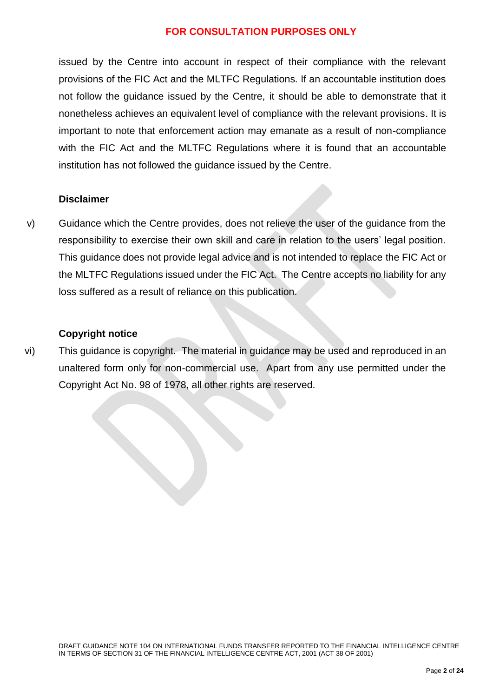issued by the Centre into account in respect of their compliance with the relevant provisions of the FIC Act and the MLTFC Regulations. If an accountable institution does not follow the guidance issued by the Centre, it should be able to demonstrate that it nonetheless achieves an equivalent level of compliance with the relevant provisions. It is important to note that enforcement action may emanate as a result of non-compliance with the FIC Act and the MLTFC Regulations where it is found that an accountable institution has not followed the guidance issued by the Centre.

### **Disclaimer**

v) Guidance which the Centre provides, does not relieve the user of the guidance from the responsibility to exercise their own skill and care in relation to the users' legal position. This guidance does not provide legal advice and is not intended to replace the FIC Act or the MLTFC Regulations issued under the FIC Act. The Centre accepts no liability for any loss suffered as a result of reliance on this publication.

#### **Copyright notice**

vi) This guidance is copyright. The material in guidance may be used and reproduced in an unaltered form only for non-commercial use. Apart from any use permitted under the Copyright Act No. 98 of 1978, all other rights are reserved.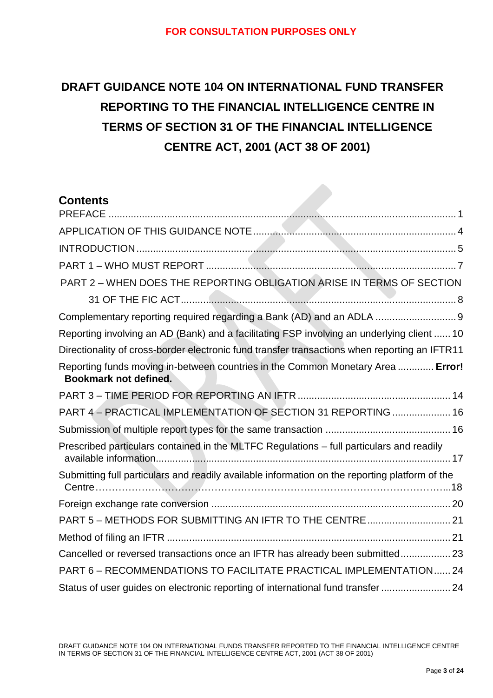# **DRAFT GUIDANCE NOTE 104 ON INTERNATIONAL FUND TRANSFER REPORTING TO THE FINANCIAL INTELLIGENCE CENTRE IN TERMS OF SECTION 31 OF THE FINANCIAL INTELLIGENCE CENTRE ACT, 2001 (ACT 38 OF 2001)**

| <b>Contents</b>                                                                                                 |
|-----------------------------------------------------------------------------------------------------------------|
|                                                                                                                 |
|                                                                                                                 |
|                                                                                                                 |
|                                                                                                                 |
| PART 2 - WHEN DOES THE REPORTING OBLIGATION ARISE IN TERMS OF SECTION                                           |
|                                                                                                                 |
| Complementary reporting required regarding a Bank (AD) and an ADLA  9                                           |
| Reporting involving an AD (Bank) and a facilitating FSP involving an underlying client  10                      |
| Directionality of cross-border electronic fund transfer transactions when reporting an IFTR11                   |
| Reporting funds moving in-between countries in the Common Monetary Area  Error!<br><b>Bookmark not defined.</b> |
|                                                                                                                 |
| PART 4 - PRACTICAL IMPLEMENTATION OF SECTION 31 REPORTING  16                                                   |
|                                                                                                                 |
| Prescribed particulars contained in the MLTFC Regulations - full particulars and readily                        |
| Submitting full particulars and readily available information on the reporting platform of the                  |
|                                                                                                                 |
| PART 5 - METHODS FOR SUBMITTING AN IFTR TO THE CENTRE 21                                                        |
|                                                                                                                 |
| Cancelled or reversed transactions once an IFTR has already been submitted 23                                   |
| PART 6 - RECOMMENDATIONS TO FACILITATE PRACTICAL IMPLEMENTATION 24                                              |
| Status of user guides on electronic reporting of international fund transfer  24                                |

DRAFT GUIDANCE NOTE 104 ON INTERNATIONAL FUNDS TRANSFER REPORTED TO THE FINANCIAL INTELLIGENCE CENTRE IN TERMS OF SECTION 31 OF THE FINANCIAL INTELLIGENCE CENTRE ACT, 2001 (ACT 38 OF 2001)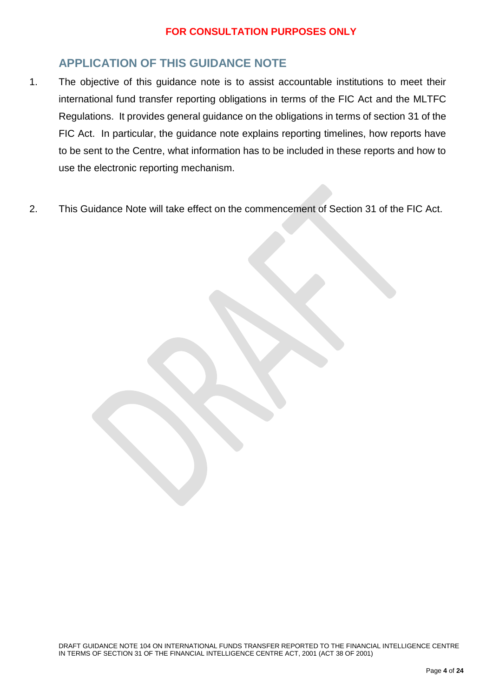# <span id="page-4-0"></span>**APPLICATION OF THIS GUIDANCE NOTE**

- 1. The objective of this guidance note is to assist accountable institutions to meet their international fund transfer reporting obligations in terms of the FIC Act and the MLTFC Regulations. It provides general guidance on the obligations in terms of section 31 of the FIC Act. In particular, the guidance note explains reporting timelines, how reports have to be sent to the Centre, what information has to be included in these reports and how to use the electronic reporting mechanism.
- 2. This Guidance Note will take effect on the commencement of Section 31 of the FIC Act.

DRAFT GUIDANCE NOTE 104 ON INTERNATIONAL FUNDS TRANSFER REPORTED TO THE FINANCIAL INTELLIGENCE CENTRE IN TERMS OF SECTION 31 OF THE FINANCIAL INTELLIGENCE CENTRE ACT, 2001 (ACT 38 OF 2001)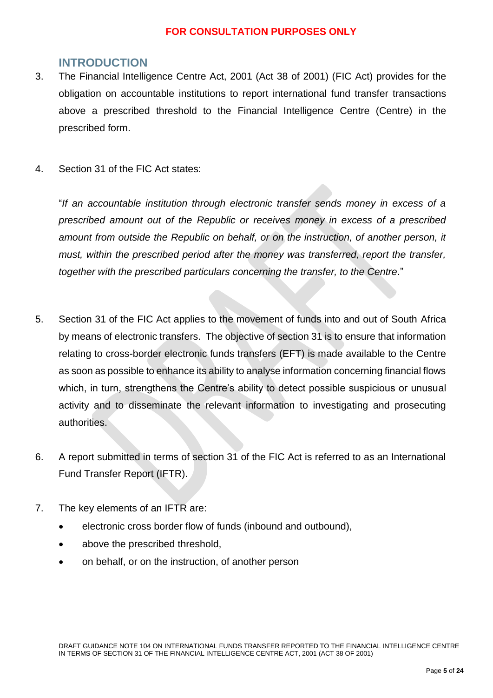# <span id="page-5-0"></span>**INTRODUCTION**

- 3. The Financial Intelligence Centre Act, 2001 (Act 38 of 2001) (FIC Act) provides for the obligation on accountable institutions to report international fund transfer transactions above a prescribed threshold to the Financial Intelligence Centre (Centre) in the prescribed form.
- 4. Section 31 of the FIC Act states:

"*If an accountable institution through electronic transfer sends money in excess of a prescribed amount out of the Republic or receives money in excess of a prescribed amount from outside the Republic on behalf, or on the instruction, of another person, it must, within the prescribed period after the money was transferred, report the transfer, together with the prescribed particulars concerning the transfer, to the Centre*."

- 5. Section 31 of the FIC Act applies to the movement of funds into and out of South Africa by means of electronic transfers. The objective of section 31 is to ensure that information relating to cross-border electronic funds transfers (EFT) is made available to the Centre as soon as possible to enhance its ability to analyse information concerning financial flows which, in turn, strengthens the Centre's ability to detect possible suspicious or unusual activity and to disseminate the relevant information to investigating and prosecuting authorities.
- 6. A report submitted in terms of section 31 of the FIC Act is referred to as an International Fund Transfer Report (IFTR).
- 7. The key elements of an IFTR are:
	- electronic cross border flow of funds (inbound and outbound),
	- above the prescribed threshold,
	- on behalf, or on the instruction, of another person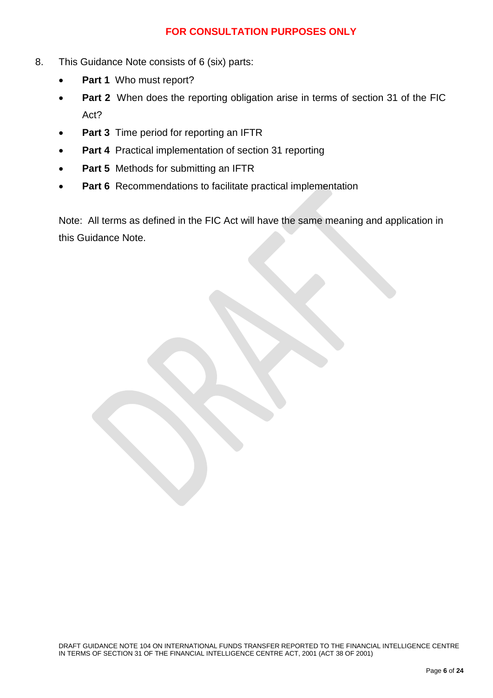- 8. This Guidance Note consists of 6 (six) parts:
	- **Part 1** Who must report?
	- **Part 2** When does the reporting obligation arise in terms of section 31 of the FIC Act?
	- **Part 3** Time period for reporting an IFTR
	- **Part 4** Practical implementation of section 31 reporting
	- **Part 5** Methods for submitting an IFTR
	- **Part 6** Recommendations to facilitate practical implementation

Note: All terms as defined in the FIC Act will have the same meaning and application in this Guidance Note.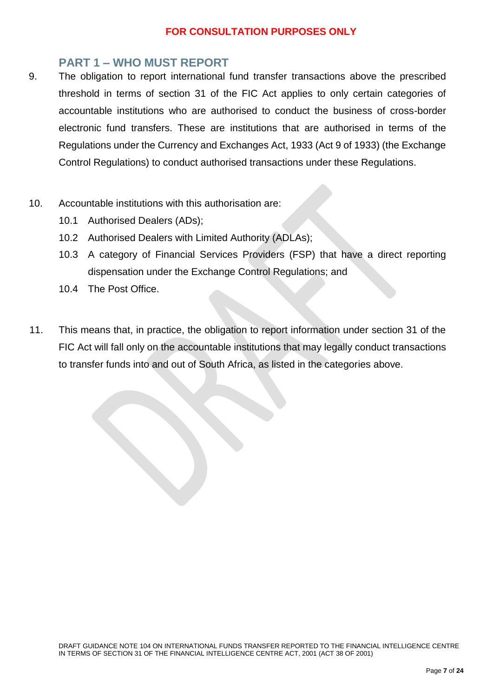# <span id="page-7-0"></span>**PART 1 – WHO MUST REPORT**

- 9. The obligation to report international fund transfer transactions above the prescribed threshold in terms of section 31 of the FIC Act applies to only certain categories of accountable institutions who are authorised to conduct the business of cross-border electronic fund transfers. These are institutions that are authorised in terms of the Regulations under the Currency and Exchanges Act, 1933 (Act 9 of 1933) (the Exchange Control Regulations) to conduct authorised transactions under these Regulations.
- 10. Accountable institutions with this authorisation are:
	- 10.1 Authorised Dealers (ADs);
	- 10.2 Authorised Dealers with Limited Authority (ADLAs);
	- 10.3 A category of Financial Services Providers (FSP) that have a direct reporting dispensation under the Exchange Control Regulations; and
	- 10.4 The Post Office.
- 11. This means that, in practice, the obligation to report information under section 31 of the FIC Act will fall only on the accountable institutions that may legally conduct transactions to transfer funds into and out of South Africa, as listed in the categories above.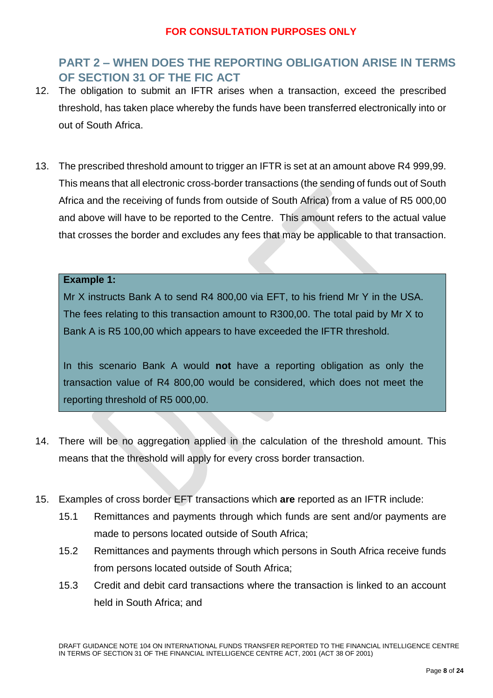# <span id="page-8-0"></span>**PART 2 – WHEN DOES THE REPORTING OBLIGATION ARISE IN TERMS OF SECTION 31 OF THE FIC ACT**

- 12. The obligation to submit an IFTR arises when a transaction, exceed the prescribed threshold, has taken place whereby the funds have been transferred electronically into or out of South Africa.
- 13. The prescribed threshold amount to trigger an IFTR is set at an amount above R4 999,99. This means that all electronic cross-border transactions (the sending of funds out of South Africa and the receiving of funds from outside of South Africa) from a value of R5 000,00 and above will have to be reported to the Centre. This amount refers to the actual value that crosses the border and excludes any fees that may be applicable to that transaction.

#### **Example 1:**

Mr X instructs Bank A to send R4 800,00 via EFT, to his friend Mr Y in the USA. The fees relating to this transaction amount to R300,00. The total paid by Mr X to Bank A is R5 100,00 which appears to have exceeded the IFTR threshold.

In this scenario Bank A would **not** have a reporting obligation as only the transaction value of R4 800,00 would be considered, which does not meet the reporting threshold of R5 000,00.

- 14. There will be no aggregation applied in the calculation of the threshold amount. This means that the threshold will apply for every cross border transaction.
- 15. Examples of cross border EFT transactions which **are** reported as an IFTR include:
	- 15.1 Remittances and payments through which funds are sent and/or payments are made to persons located outside of South Africa;
	- 15.2 Remittances and payments through which persons in South Africa receive funds from persons located outside of South Africa;
	- 15.3 Credit and debit card transactions where the transaction is linked to an account held in South Africa; and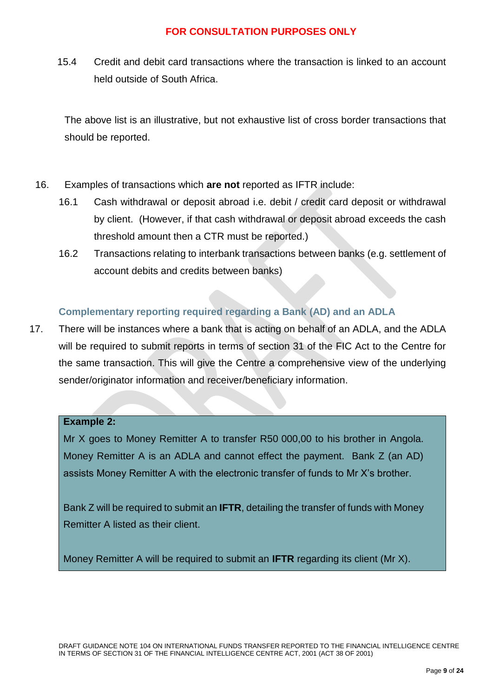15.4 Credit and debit card transactions where the transaction is linked to an account held outside of South Africa.

The above list is an illustrative, but not exhaustive list of cross border transactions that should be reported.

- 16. Examples of transactions which **are not** reported as IFTR include:
	- 16.1 Cash withdrawal or deposit abroad i.e. debit / credit card deposit or withdrawal by client. (However, if that cash withdrawal or deposit abroad exceeds the cash threshold amount then a CTR must be reported.)
	- 16.2 Transactions relating to interbank transactions between banks (e.g. settlement of account debits and credits between banks)

# <span id="page-9-0"></span>**Complementary reporting required regarding a Bank (AD) and an ADLA**

17. There will be instances where a bank that is acting on behalf of an ADLA, and the ADLA will be required to submit reports in terms of section 31 of the FIC Act to the Centre for the same transaction. This will give the Centre a comprehensive view of the underlying sender/originator information and receiver/beneficiary information.

#### **Example 2:**

Mr X goes to Money Remitter A to transfer R50 000,00 to his brother in Angola. Money Remitter A is an ADLA and cannot effect the payment. Bank Z (an AD) assists Money Remitter A with the electronic transfer of funds to Mr X's brother.

Bank Z will be required to submit an **IFTR**, detailing the transfer of funds with Money Remitter A listed as their client.

Money Remitter A will be required to submit an **IFTR** regarding its client (Mr X).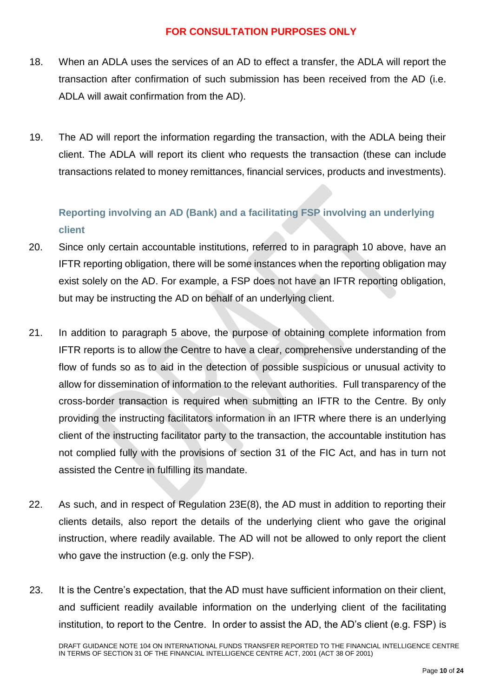- 18. When an ADLA uses the services of an AD to effect a transfer, the ADLA will report the transaction after confirmation of such submission has been received from the AD (i.e. ADLA will await confirmation from the AD).
- 19. The AD will report the information regarding the transaction, with the ADLA being their client. The ADLA will report its client who requests the transaction (these can include transactions related to money remittances, financial services, products and investments).

# <span id="page-10-0"></span>**Reporting involving an AD (Bank) and a facilitating FSP involving an underlying client**

- 20. Since only certain accountable institutions, referred to in paragraph 10 above, have an IFTR reporting obligation, there will be some instances when the reporting obligation may exist solely on the AD. For example, a FSP does not have an IFTR reporting obligation, but may be instructing the AD on behalf of an underlying client.
- 21. In addition to paragraph 5 above, the purpose of obtaining complete information from IFTR reports is to allow the Centre to have a clear, comprehensive understanding of the flow of funds so as to aid in the detection of possible suspicious or unusual activity to allow for dissemination of information to the relevant authorities. Full transparency of the cross-border transaction is required when submitting an IFTR to the Centre. By only providing the instructing facilitators information in an IFTR where there is an underlying client of the instructing facilitator party to the transaction, the accountable institution has not complied fully with the provisions of section 31 of the FIC Act, and has in turn not assisted the Centre in fulfilling its mandate.
- 22. As such, and in respect of Regulation 23E(8), the AD must in addition to reporting their clients details, also report the details of the underlying client who gave the original instruction, where readily available. The AD will not be allowed to only report the client who gave the instruction (e.g. only the FSP).
- 23. It is the Centre's expectation, that the AD must have sufficient information on their client, and sufficient readily available information on the underlying client of the facilitating institution, to report to the Centre. In order to assist the AD, the AD's client (e.g. FSP) is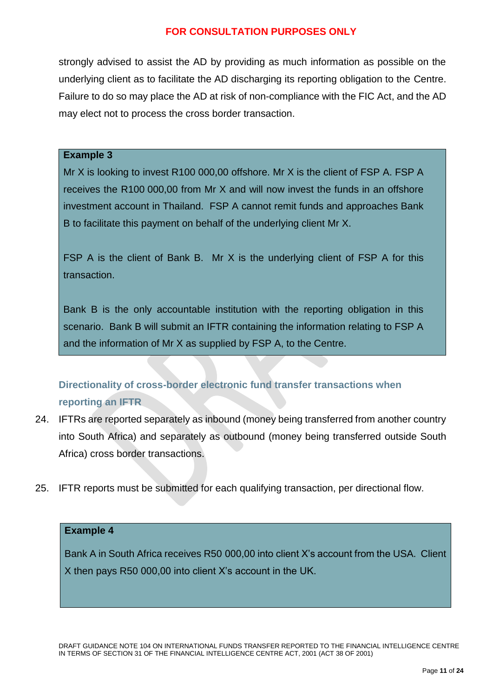strongly advised to assist the AD by providing as much information as possible on the underlying client as to facilitate the AD discharging its reporting obligation to the Centre. Failure to do so may place the AD at risk of non-compliance with the FIC Act, and the AD may elect not to process the cross border transaction.

#### **Example 3**

Mr X is looking to invest R100 000,00 offshore. Mr X is the client of FSP A. FSP A receives the R100 000,00 from Mr X and will now invest the funds in an offshore investment account in Thailand. FSP A cannot remit funds and approaches Bank B to facilitate this payment on behalf of the underlying client Mr X.

FSP A is the client of Bank B. Mr X is the underlying client of FSP A for this transaction.

Bank B is the only accountable institution with the reporting obligation in this scenario. Bank B will submit an IFTR containing the information relating to FSP A and the information of Mr X as supplied by FSP A, to the Centre.

# <span id="page-11-0"></span>**Directionality of cross-border electronic fund transfer transactions when reporting an IFTR**

- 24. IFTRs are reported separately as inbound (money being transferred from another country into South Africa) and separately as outbound (money being transferred outside South Africa) cross border transactions.
- 25. IFTR reports must be submitted for each qualifying transaction, per directional flow.

#### **Example 4**

Bank A in South Africa receives R50 000,00 into client X's account from the USA. Client X then pays R50 000,00 into client X's account in the UK.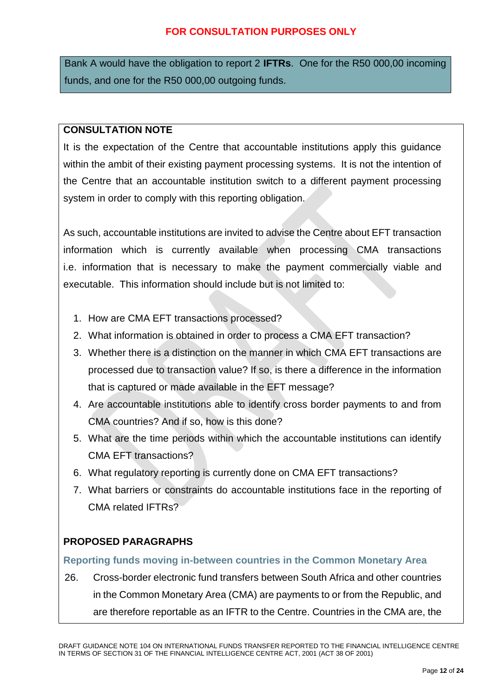Bank A would have the obligation to report 2 **IFTRs**. One for the R50 000,00 incoming funds, and one for the R50 000,00 outgoing funds.

#### **CONSULTATION NOTE**

It is the expectation of the Centre that accountable institutions apply this guidance within the ambit of their existing payment processing systems. It is not the intention of the Centre that an accountable institution switch to a different payment processing system in order to comply with this reporting obligation.

As such, accountable institutions are invited to advise the Centre about EFT transaction information which is currently available when processing CMA transactions i.e. information that is necessary to make the payment commercially viable and executable. This information should include but is not limited to:

- 1. How are CMA EFT transactions processed?
- 2. What information is obtained in order to process a CMA EFT transaction?
- 3. Whether there is a distinction on the manner in which CMA EFT transactions are processed due to transaction value? If so, is there a difference in the information that is captured or made available in the EFT message?
- 4. Are accountable institutions able to identify cross border payments to and from CMA countries? And if so, how is this done?
- 5. What are the time periods within which the accountable institutions can identify CMA EFT transactions?
- 6. What regulatory reporting is currently done on CMA EFT transactions?
- 7. What barriers or constraints do accountable institutions face in the reporting of CMA related IFTRs?

# **PROPOSED PARAGRAPHS**

#### **Reporting funds moving in-between countries in the Common Monetary Area**

26. Cross-border electronic fund transfers between South Africa and other countries in the Common Monetary Area (CMA) are payments to or from the Republic, and are therefore reportable as an IFTR to the Centre. Countries in the CMA are, the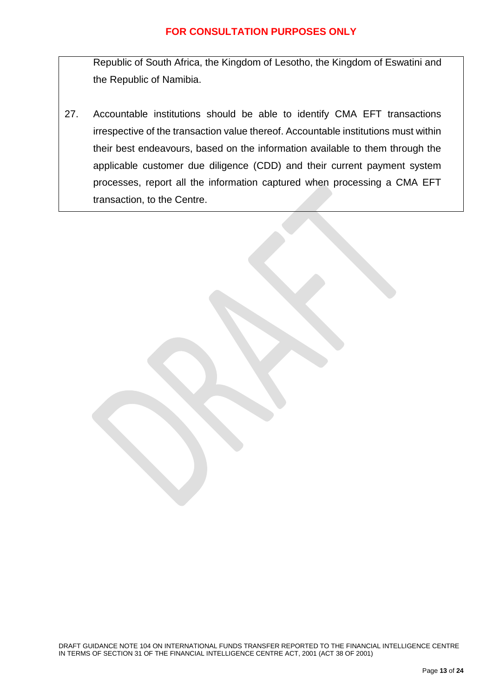Republic of South Africa, the Kingdom of Lesotho, the Kingdom of Eswatini and the Republic of Namibia.

27. Accountable institutions should be able to identify CMA EFT transactions irrespective of the transaction value thereof. Accountable institutions must within their best endeavours, based on the information available to them through the applicable customer due diligence (CDD) and their current payment system processes, report all the information captured when processing a CMA EFT transaction, to the Centre.

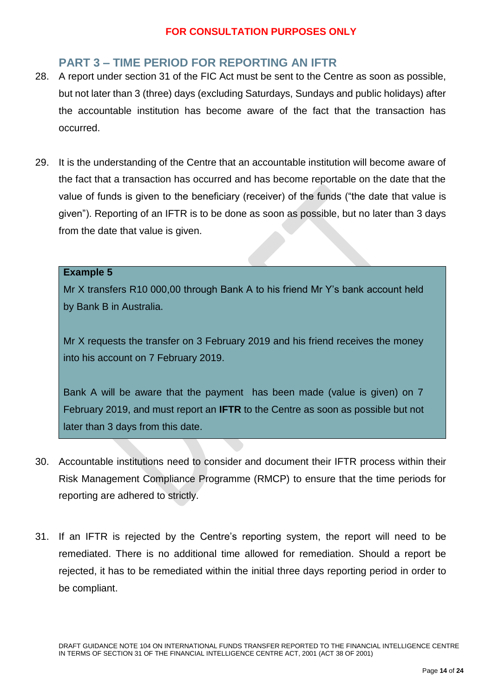# <span id="page-14-0"></span>**PART 3 – TIME PERIOD FOR REPORTING AN IFTR**

- 28. A report under section 31 of the FIC Act must be sent to the Centre as soon as possible, but not later than 3 (three) days (excluding Saturdays, Sundays and public holidays) after the accountable institution has become aware of the fact that the transaction has occurred.
- 29. It is the understanding of the Centre that an accountable institution will become aware of the fact that a transaction has occurred and has become reportable on the date that the value of funds is given to the beneficiary (receiver) of the funds ("the date that value is given"). Reporting of an IFTR is to be done as soon as possible, but no later than 3 days from the date that value is given.

#### **Example 5**

Mr X transfers R10 000,00 through Bank A to his friend Mr Y's bank account held by Bank B in Australia.

Mr X requests the transfer on 3 February 2019 and his friend receives the money into his account on 7 February 2019.

Bank A will be aware that the payment has been made (value is given) on 7 February 2019, and must report an **IFTR** to the Centre as soon as possible but not later than 3 days from this date.

- 30. Accountable institutions need to consider and document their IFTR process within their Risk Management Compliance Programme (RMCP) to ensure that the time periods for reporting are adhered to strictly.
- 31. If an IFTR is rejected by the Centre's reporting system, the report will need to be remediated. There is no additional time allowed for remediation. Should a report be rejected, it has to be remediated within the initial three days reporting period in order to be compliant.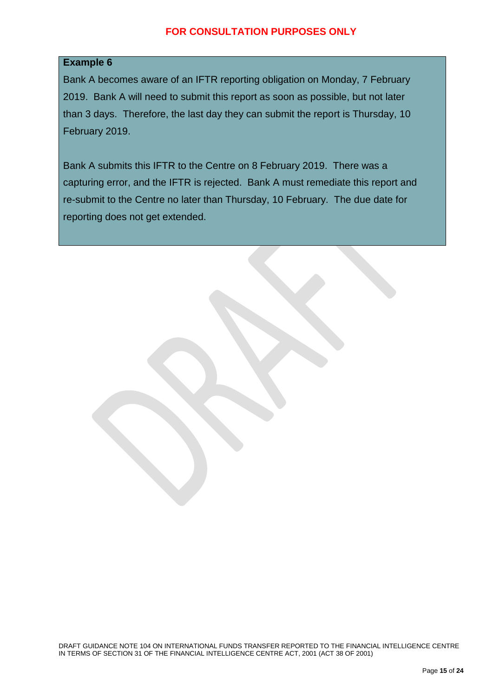#### **Example 6**

Bank A becomes aware of an IFTR reporting obligation on Monday, 7 February 2019. Bank A will need to submit this report as soon as possible, but not later than 3 days. Therefore, the last day they can submit the report is Thursday, 10 February 2019.

Bank A submits this IFTR to the Centre on 8 February 2019. There was a capturing error, and the IFTR is rejected. Bank A must remediate this report and re-submit to the Centre no later than Thursday, 10 February. The due date for reporting does not get extended.

DRAFT GUIDANCE NOTE 104 ON INTERNATIONAL FUNDS TRANSFER REPORTED TO THE FINANCIAL INTELLIGENCE CENTRE IN TERMS OF SECTION 31 OF THE FINANCIAL INTELLIGENCE CENTRE ACT, 2001 (ACT 38 OF 2001)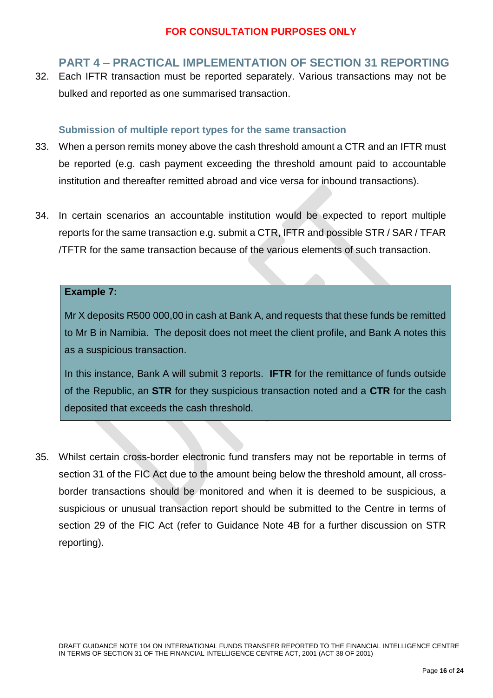# <span id="page-16-0"></span>**PART 4 – PRACTICAL IMPLEMENTATION OF SECTION 31 REPORTING**

32. Each IFTR transaction must be reported separately. Various transactions may not be bulked and reported as one summarised transaction.

#### <span id="page-16-1"></span>**Submission of multiple report types for the same transaction**

- 33. When a person remits money above the cash threshold amount a CTR and an IFTR must be reported (e.g. cash payment exceeding the threshold amount paid to accountable institution and thereafter remitted abroad and vice versa for inbound transactions).
- 34. In certain scenarios an accountable institution would be expected to report multiple reports for the same transaction e.g. submit a CTR, IFTR and possible STR / SAR / TFAR /TFTR for the same transaction because of the various elements of such transaction.

#### **Example 7:**

Mr X deposits R500 000,00 in cash at Bank A, and requests that these funds be remitted to Mr B in Namibia. The deposit does not meet the client profile, and Bank A notes this as a suspicious transaction.

In this instance, Bank A will submit 3 reports. **IFTR** for the remittance of funds outside of the Republic, an **STR** for they suspicious transaction noted and a **CTR** for the cash deposited that exceeds the cash threshold.

35. Whilst certain cross-border electronic fund transfers may not be reportable in terms of section 31 of the FIC Act due to the amount being below the threshold amount, all crossborder transactions should be monitored and when it is deemed to be suspicious, a suspicious or unusual transaction report should be submitted to the Centre in terms of section 29 of the FIC Act (refer to Guidance Note 4B for a further discussion on STR reporting).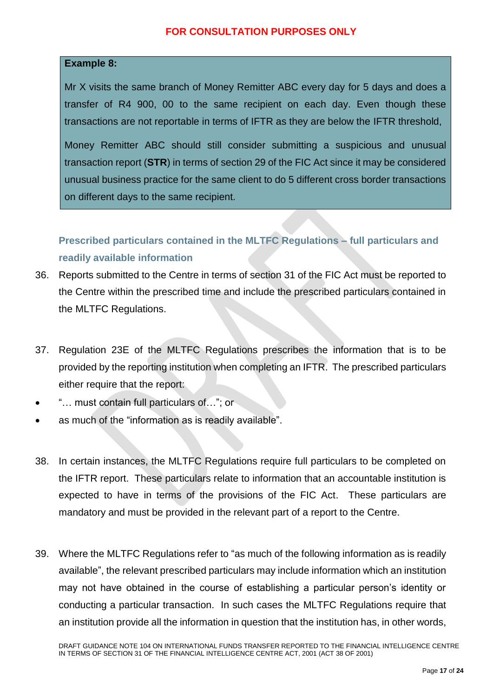#### **Example 8:**

Mr X visits the same branch of Money Remitter ABC every day for 5 days and does a transfer of R4 900, 00 to the same recipient on each day. Even though these transactions are not reportable in terms of IFTR as they are below the IFTR threshold,

Money Remitter ABC should still consider submitting a suspicious and unusual transaction report (**STR**) in terms of section 29 of the FIC Act since it may be considered unusual business practice for the same client to do 5 different cross border transactions on different days to the same recipient.

<span id="page-17-0"></span>**Prescribed particulars contained in the MLTFC Regulations – full particulars and readily available information**

- 36. Reports submitted to the Centre in terms of section 31 of the FIC Act must be reported to the Centre within the prescribed time and include the prescribed particulars contained in the MLTFC Regulations.
- 37. Regulation 23E of the MLTFC Regulations prescribes the information that is to be provided by the reporting institution when completing an IFTR. The prescribed particulars either require that the report:
- "… must contain full particulars of…"; or
- as much of the "information as is readily available".
- 38. In certain instances, the MLTFC Regulations require full particulars to be completed on the IFTR report. These particulars relate to information that an accountable institution is expected to have in terms of the provisions of the FIC Act. These particulars are mandatory and must be provided in the relevant part of a report to the Centre.
- 39. Where the MLTFC Regulations refer to "as much of the following information as is readily available", the relevant prescribed particulars may include information which an institution may not have obtained in the course of establishing a particular person's identity or conducting a particular transaction. In such cases the MLTFC Regulations require that an institution provide all the information in question that the institution has, in other words,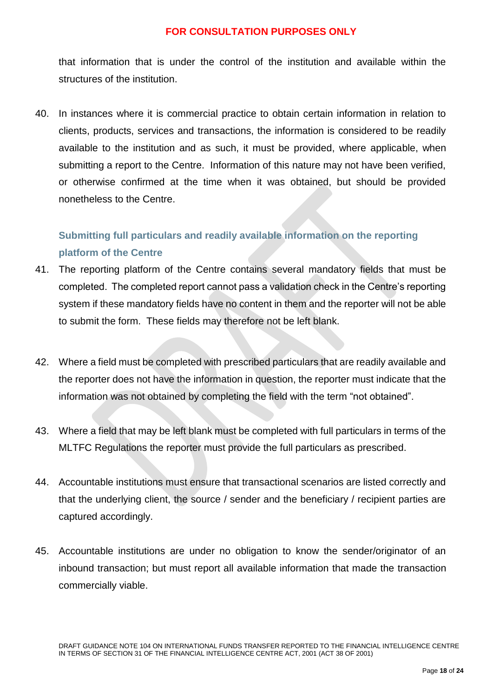that information that is under the control of the institution and available within the structures of the institution.

40. In instances where it is commercial practice to obtain certain information in relation to clients, products, services and transactions, the information is considered to be readily available to the institution and as such, it must be provided, where applicable, when submitting a report to the Centre. Information of this nature may not have been verified, or otherwise confirmed at the time when it was obtained, but should be provided nonetheless to the Centre.

# <span id="page-18-0"></span>**Submitting full particulars and readily available information on the reporting platform of the Centre**

- 41. The reporting platform of the Centre contains several mandatory fields that must be completed. The completed report cannot pass a validation check in the Centre's reporting system if these mandatory fields have no content in them and the reporter will not be able to submit the form. These fields may therefore not be left blank.
- 42. Where a field must be completed with prescribed particulars that are readily available and the reporter does not have the information in question, the reporter must indicate that the information was not obtained by completing the field with the term "not obtained".
- 43. Where a field that may be left blank must be completed with full particulars in terms of the MLTFC Regulations the reporter must provide the full particulars as prescribed.
- 44. Accountable institutions must ensure that transactional scenarios are listed correctly and that the underlying client, the source / sender and the beneficiary / recipient parties are captured accordingly.
- 45. Accountable institutions are under no obligation to know the sender/originator of an inbound transaction; but must report all available information that made the transaction commercially viable.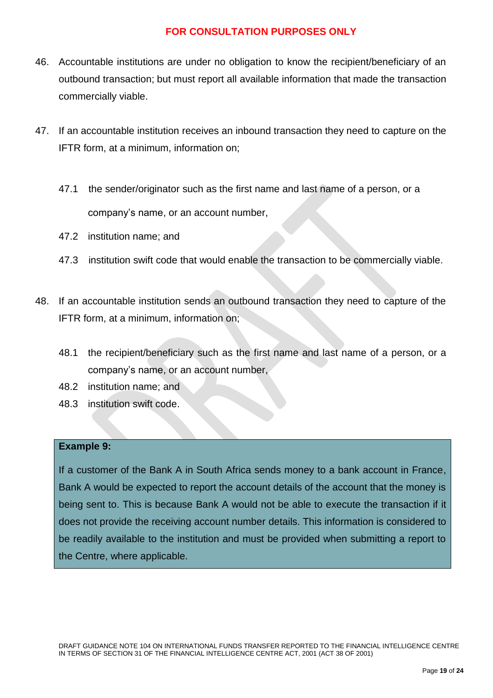- 46. Accountable institutions are under no obligation to know the recipient/beneficiary of an outbound transaction; but must report all available information that made the transaction commercially viable.
- 47. If an accountable institution receives an inbound transaction they need to capture on the IFTR form, at a minimum, information on;
	- 47.1 the sender/originator such as the first name and last name of a person, or a company's name, or an account number,
	- 47.2 institution name; and
	- 47.3 institution swift code that would enable the transaction to be commercially viable.
- 48. If an accountable institution sends an outbound transaction they need to capture of the IFTR form, at a minimum, information on;
	- 48.1 the recipient/beneficiary such as the first name and last name of a person, or a company's name, or an account number,
	- 48.2 institution name; and
	- 48.3 institution swift code.

#### **Example 9:**

If a customer of the Bank A in South Africa sends money to a bank account in France, Bank A would be expected to report the account details of the account that the money is being sent to. This is because Bank A would not be able to execute the transaction if it does not provide the receiving account number details. This information is considered to be readily available to the institution and must be provided when submitting a report to the Centre, where applicable.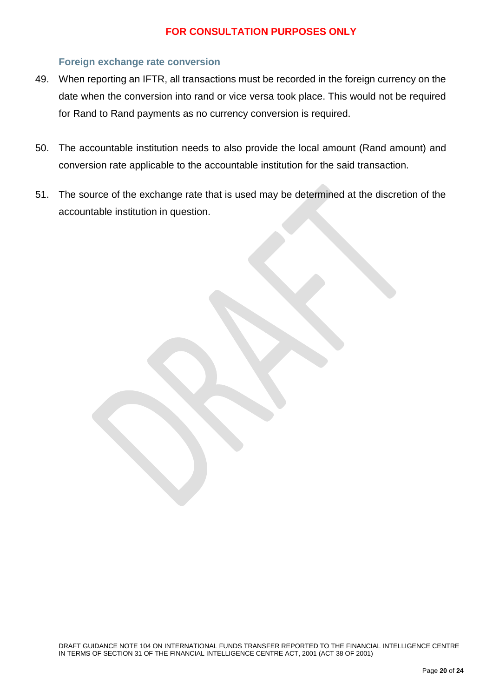#### <span id="page-20-0"></span>**Foreign exchange rate conversion**

- 49. When reporting an IFTR, all transactions must be recorded in the foreign currency on the date when the conversion into rand or vice versa took place. This would not be required for Rand to Rand payments as no currency conversion is required.
- 50. The accountable institution needs to also provide the local amount (Rand amount) and conversion rate applicable to the accountable institution for the said transaction.
- 51. The source of the exchange rate that is used may be determined at the discretion of the accountable institution in question.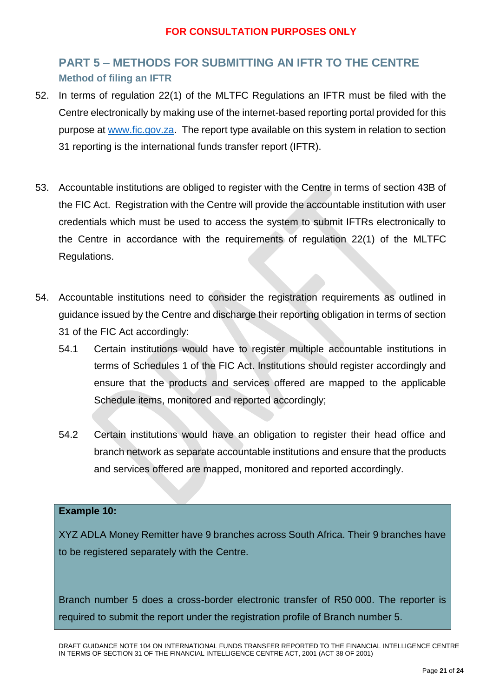# <span id="page-21-1"></span><span id="page-21-0"></span>**PART 5 – METHODS FOR SUBMITTING AN IFTR TO THE CENTRE Method of filing an IFTR**

- 52. In terms of regulation 22(1) of the MLTFC Regulations an IFTR must be filed with the Centre electronically by making use of the internet-based reporting portal provided for this purpose at [www.fic.gov.za.](http://www.fic.gov.za/) The report type available on this system in relation to section 31 reporting is the international funds transfer report (IFTR).
- 53. Accountable institutions are obliged to register with the Centre in terms of section 43B of the FIC Act. Registration with the Centre will provide the accountable institution with user credentials which must be used to access the system to submit IFTRs electronically to the Centre in accordance with the requirements of regulation 22(1) of the MLTFC Regulations.
- 54. Accountable institutions need to consider the registration requirements as outlined in guidance issued by the Centre and discharge their reporting obligation in terms of section 31 of the FIC Act accordingly:
	- 54.1 Certain institutions would have to register multiple accountable institutions in terms of Schedules 1 of the FIC Act. Institutions should register accordingly and ensure that the products and services offered are mapped to the applicable Schedule items, monitored and reported accordingly;
	- 54.2 Certain institutions would have an obligation to register their head office and branch network as separate accountable institutions and ensure that the products and services offered are mapped, monitored and reported accordingly.

#### **Example 10:**

XYZ ADLA Money Remitter have 9 branches across South Africa. Their 9 branches have to be registered separately with the Centre.

Branch number 5 does a cross-border electronic transfer of R50 000. The reporter is required to submit the report under the registration profile of Branch number 5.

DRAFT GUIDANCE NOTE 104 ON INTERNATIONAL FUNDS TRANSFER REPORTED TO THE FINANCIAL INTELLIGENCE CENTRE IN TERMS OF SECTION 31 OF THE FINANCIAL INTELLIGENCE CENTRE ACT, 2001 (ACT 38 OF 2001)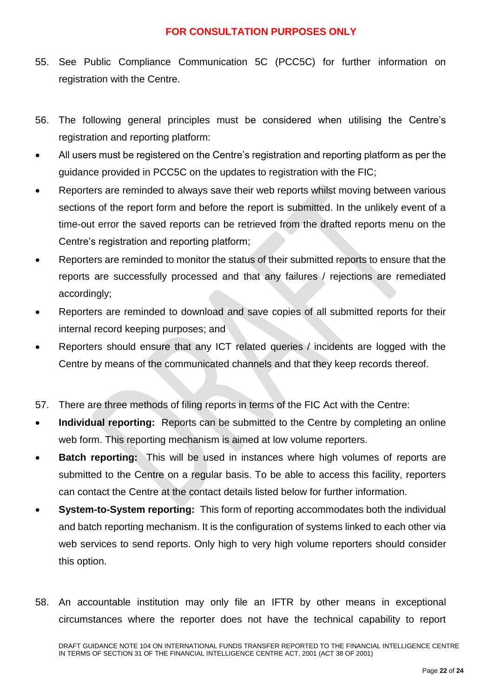- 55. See Public Compliance Communication 5C (PCC5C) for further information on registration with the Centre.
- 56. The following general principles must be considered when utilising the Centre's registration and reporting platform:
- All users must be registered on the Centre's registration and reporting platform as per the guidance provided in PCC5C on the updates to registration with the FIC;
- Reporters are reminded to always save their web reports whilst moving between various sections of the report form and before the report is submitted. In the unlikely event of a time-out error the saved reports can be retrieved from the drafted reports menu on the Centre's registration and reporting platform;
- Reporters are reminded to monitor the status of their submitted reports to ensure that the reports are successfully processed and that any failures / rejections are remediated accordingly;
- Reporters are reminded to download and save copies of all submitted reports for their internal record keeping purposes; and
- Reporters should ensure that any ICT related queries / incidents are logged with the Centre by means of the communicated channels and that they keep records thereof.
- 57. There are three methods of filing reports in terms of the FIC Act with the Centre:
- **Individual reporting:** Reports can be submitted to the Centre by completing an online web form. This reporting mechanism is aimed at low volume reporters.
- **Batch reporting:** This will be used in instances where high volumes of reports are submitted to the Centre on a regular basis. To be able to access this facility, reporters can contact the Centre at the contact details listed below for further information.
- **System-to-System reporting:** This form of reporting accommodates both the individual and batch reporting mechanism. It is the configuration of systems linked to each other via web services to send reports. Only high to very high volume reporters should consider this option.
- 58. An accountable institution may only file an IFTR by other means in exceptional circumstances where the reporter does not have the technical capability to report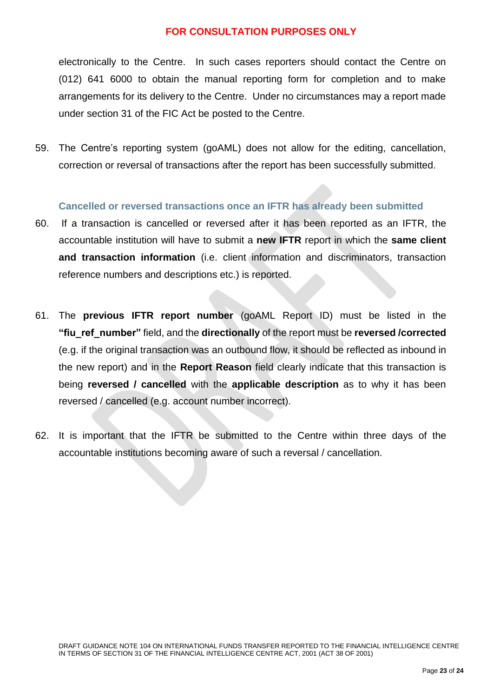electronically to the Centre. In such cases reporters should contact the Centre on (012) 641 6000 to obtain the manual reporting form for completion and to make arrangements for its delivery to the Centre. Under no circumstances may a report made under section 31 of the FIC Act be posted to the Centre.

59. The Centre's reporting system (goAML) does not allow for the editing, cancellation, correction or reversal of transactions after the report has been successfully submitted.

#### <span id="page-23-0"></span>**Cancelled or reversed transactions once an IFTR has already been submitted**

- 60. If a transaction is cancelled or reversed after it has been reported as an IFTR, the accountable institution will have to submit a **new IFTR** report in which the **same client and transaction information** (i.e. client information and discriminators, transaction reference numbers and descriptions etc.) is reported.
- 61. The **previous IFTR report number** (goAML Report ID) must be listed in the **"fiu\_ref\_number"** field, and the **directionally** of the report must be **reversed /corrected**  (e.g. if the original transaction was an outbound flow, it should be reflected as inbound in the new report) and in the **Report Reason** field clearly indicate that this transaction is being **reversed / cancelled** with the **applicable description** as to why it has been reversed / cancelled (e.g. account number incorrect).
- 62. It is important that the IFTR be submitted to the Centre within three days of the accountable institutions becoming aware of such a reversal / cancellation.